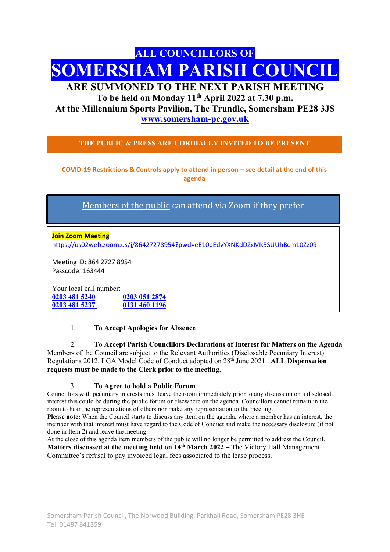# ALL COUNCILLORS OF SOMERSHAM PARISH COUNCIL

# ARE SUMMONED TO THE NEXT PARISH MEETING

To be held on Monday 11<sup>th</sup> April 2022 at 7.30 p.m. At the Millennium Sports Pavilion, The Trundle, Somersham PE28 3JS www.somersham-pc.gov.uk

THE PUBLIC & PRESS ARE CORDIALLY INVITED TO BE PRESENT

COVID-19 Restrictions & Controls apply to attend in person – see detail at the end of this agenda

Members of the public can attend via Zoom if they prefer

Join Zoom Meeting https://us02web.zoom.us/j/86427278954?pwd=eE10bEdvYXNKdDZxMk5SUUhBcm10Zz09

Meeting ID: 864 2727 8954 Passcode: 163444

Your local call number: 0203 481 5240 0203 051 2874 0203 481 5237 0131 460 1196

# 1. To Accept Apologies for Absence

2. To Accept Parish Councillors Declarations of Interest for Matters on the Agenda Members of the Council are subject to the Relevant Authorities (Disclosable Pecuniary Interest) Regulations 2012. LGA Model Code of Conduct adopted on 28<sup>th</sup> June 2021. ALL Dispensation requests must be made to the Clerk prior to the meeting.

# 3. To Agree to hold a Public Forum

Councillors with pecuniary interests must leave the room immediately prior to any discussion on a disclosed interest this could be during the public forum or elsewhere on the agenda. Councillors cannot remain in the room to hear the representations of others nor make any representation to the meeting.

Please note: When the Council starts to discuss any item on the agenda, where a member has an interest, the member with that interest must have regard to the Code of Conduct and make the necessary disclosure (if not done in Item 2) and leave the meeting.

At the close of this agenda item members of the public will no longer be permitted to address the Council. Matters discussed at the meeting held on  $14<sup>th</sup>$  March 2022 – The Victory Hall Management Committee's refusal to pay invoiced legal fees associated to the lease process.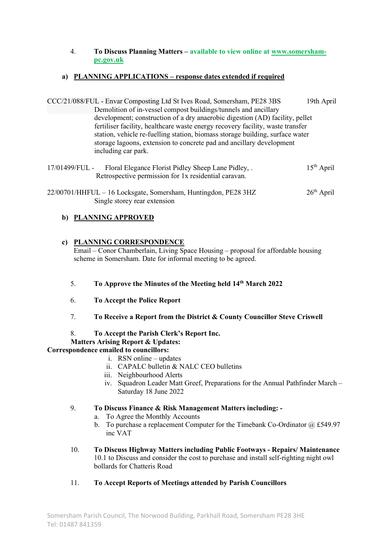## 4. To Discuss Planning Matters – available to view online at www.somershampc.gov.uk

# a) PLANNING APPLICATIONS – response dates extended if required

CCC/21/088/FUL - Envar Composting Ltd St Ives Road, Somersham, PE28 3BS 19th April Demolition of in-vessel compost buildings/tunnels and ancillary development; construction of a dry anaerobic digestion (AD) facility, pellet fertiliser facility, healthcare waste energy recovery facility, waste transfer station, vehicle re-fuelling station, biomass storage building, surface water storage lagoons, extension to concrete pad and ancillary development including car park.

17/01499/FUL - Floral Elegance Florist Pidley Sheep Lane Pidley, . 15<sup>th</sup> April Retrospective permission for 1x residential caravan.

 $22/00701/HHFDL - 16$  Locksgate, Somersham, Huntingdon, PE28 3HZ  $26<sup>th</sup>$  April Single storey rear extension

# b) PLANNING APPROVED

# c) PLANNING CORRESPONDENCE

Email – Conor Chamberlain, Living Space Housing – proposal for affordable housing scheme in Somersham. Date for informal meeting to be agreed.

# 5. To Approve the Minutes of the Meeting held 14th March 2022

- 6. To Accept the Police Report
- 7. To Receive a Report from the District & County Councillor Steve Criswell

# 8. To Accept the Parish Clerk's Report Inc.

# Matters Arising Report & Updates:

# Correspondence emailed to councillors:

- i. RSN online updates
	- ii. CAPALC bulletin & NALC CEO bulletins
	- iii. Neighbourhood Alerts
	- iv. Squadron Leader Matt Greef, Preparations for the Annual Pathfinder March Saturday 18 June 2022

# 9. To Discuss Finance & Risk Management Matters including: -

- a. To Agree the Monthly Accounts
- b. To purchase a replacement Computer for the Timebank Co-Ordinator  $@E$  £549.97 inc VAT
- 10. To Discuss Highway Matters including Public Footways Repairs/ Maintenance 10.1 to Discuss and consider the cost to purchase and install self-righting night owl bollards for Chatteris Road
- 11. To Accept Reports of Meetings attended by Parish Councillors